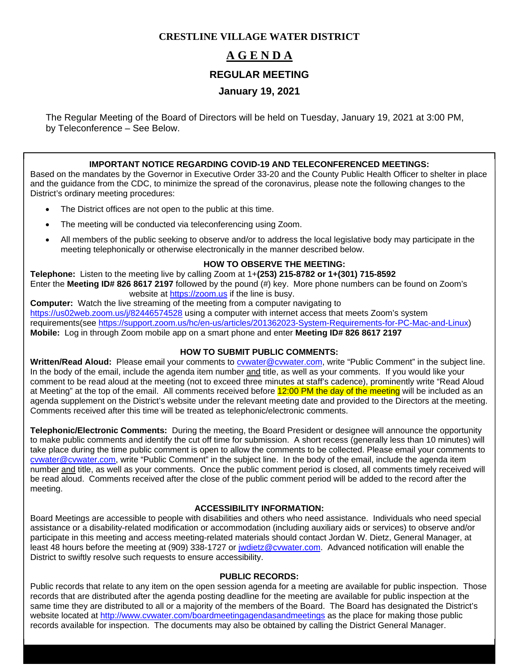## **CRESTLINE VILLAGE WATER DISTRICT**

# **A G E N D A**

### **REGULAR MEETING**

# **January 19, 2021**

The Regular Meeting of the Board of Directors will be held on Tuesday, January 19, 2021 at 3:00 PM, by Teleconference – See Below.

### **IMPORTANT NOTICE REGARDING COVID-19 AND TELECONFERENCED MEETINGS:**

Based on the mandates by the Governor in Executive Order 33-20 and the County Public Health Officer to shelter in place and the guidance from the CDC, to minimize the spread of the coronavirus, please note the following changes to the District's ordinary meeting procedures:

- The District offices are not open to the public at this time.
- The meeting will be conducted via teleconferencing using Zoom.
- All members of the public seeking to observe and/or to address the local legislative body may participate in the meeting telephonically or otherwise electronically in the manner described below.

### **HOW TO OBSERVE THE MEETING:**

**Telephone:** Listen to the meeting live by calling Zoom at 1+**(253) 215-8782 or 1+(301) 715-8592**  Enter the **Meeting ID# 826 8617 2197** followed by the pound (#) key. More phone numbers can be found on Zoom's website at https://zoom.us if the line is busy.

**Computer:** Watch the live streaming of the meeting from a computer navigating to https://us02web.zoom.us/j/82446574528 using a computer with internet access that meets Zoom's system requirements(see https://support.zoom.us/hc/en-us/articles/201362023-System-Requirements-for-PC-Mac-and-Linux) **Mobile:** Log in through Zoom mobile app on a smart phone and enter **Meeting ID# 826 8617 2197** 

### **HOW TO SUBMIT PUBLIC COMMENTS:**

**Written/Read Aloud:** Please email your comments to cvwater@cvwater.com, write "Public Comment" in the subject line. In the body of the email, include the agenda item number and title, as well as your comments. If you would like your comment to be read aloud at the meeting (not to exceed three minutes at staff's cadence), prominently write "Read Aloud at Meeting" at the top of the email. All comments received before 12:00 PM the day of the meeting will be included as an agenda supplement on the District's website under the relevant meeting date and provided to the Directors at the meeting. Comments received after this time will be treated as telephonic/electronic comments.

**Telephonic/Electronic Comments:** During the meeting, the Board President or designee will announce the opportunity to make public comments and identify the cut off time for submission. A short recess (generally less than 10 minutes) will take place during the time public comment is open to allow the comments to be collected. Please email your comments to cvwater@cvwater.com, write "Public Comment" in the subject line. In the body of the email, include the agenda item number and title, as well as your comments. Once the public comment period is closed, all comments timely received will be read aloud. Comments received after the close of the public comment period will be added to the record after the meeting.

### **ACCESSIBILITY INFORMATION:**

Board Meetings are accessible to people with disabilities and others who need assistance. Individuals who need special assistance or a disability-related modification or accommodation (including auxiliary aids or services) to observe and/or participate in this meeting and access meeting-related materials should contact Jordan W. Dietz, General Manager, at least 48 hours before the meeting at (909) 338-1727 or jwdietz@cvwater.com. Advanced notification will enable the District to swiftly resolve such requests to ensure accessibility.

#### **PUBLIC RECORDS:**

Public records that relate to any item on the open session agenda for a meeting are available for public inspection. Those records that are distributed after the agenda posting deadline for the meeting are available for public inspection at the same time they are distributed to all or a majority of the members of the Board. The Board has designated the District's website located at http://www.cvwater.com/boardmeetingagendasandmeetings as the place for making those public records available for inspection. The documents may also be obtained by calling the District General Manager.